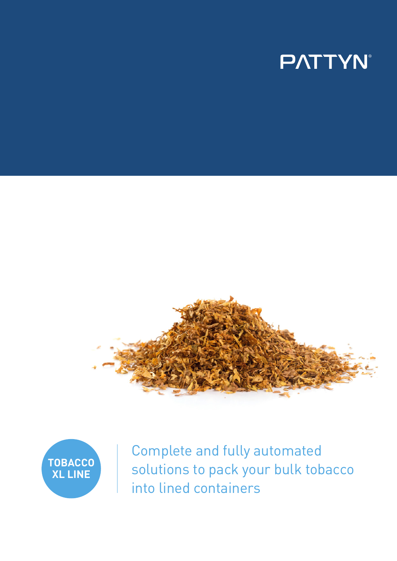# **PATTYN**





Complete and fully automated solutions to pack your bulk tobacco into lined containers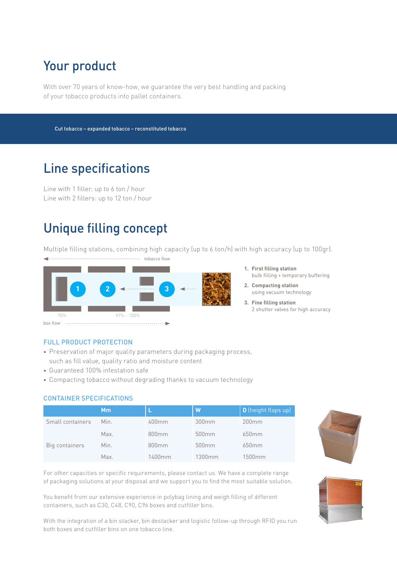# Your product

With over 70 years of know-how, we guarantee the very best handling and packing of your tobacco products into pallet containers.

Cut tobacco – expanded tobacco – reconstituted tobacco

### Line specifications

Line with 1 filler: up to 6 ton / hour Line with 2 fillers: up to 12 ton / hour

## Unique filling concept

Multiple filling stations, combining high capacity (up to 6 ton/h) with high accuracy (up to 100gr).

**tobacco** flow



- **1. First filling station** bulk filling + temporary buffering
- **2. Compacting station**  using vacuum technology
- **3. Fine filling station** 2 shutter valves for high accuracy

#### FULL PRODUCT PROTECTION

- Preservation of major quality parameters during packaging process, such as fill value, quality ratio and moisture content
- Guaranteed 100% infestation safe
- Compacting tobacco without degrading thanks to vacuum technology

#### CONTAINER SPECIFICATIONS

|                  | Mm   |                   | W                 | D (height flaps up) |
|------------------|------|-------------------|-------------------|---------------------|
| Small containers | Min. | 400mm             | 300mm             | 200mm               |
|                  | Max. | 800 <sub>mm</sub> | 500 <sub>mm</sub> | 650mm               |
| Big containers   | Min. | 800mm             | 500 <sub>mm</sub> | 650 <sub>mm</sub>   |
|                  | Max. | 1400mm            | 1300mm            | 1500 <sub>mm</sub>  |



For other capacities or specific requirements, please contact us. We have a complete range of packaging solutions at your disposal and we support you to find the most suitable solution.

You benefit from our extensive experience in polybag lining and weigh filling of different containers, such as C30, C48, C90, C96 boxes and cutfiller bins.

With the integration of a bin stacker, bin destacker and logistic follow-up through RFID you run both boxes and cutfiller bins on one tobacco line.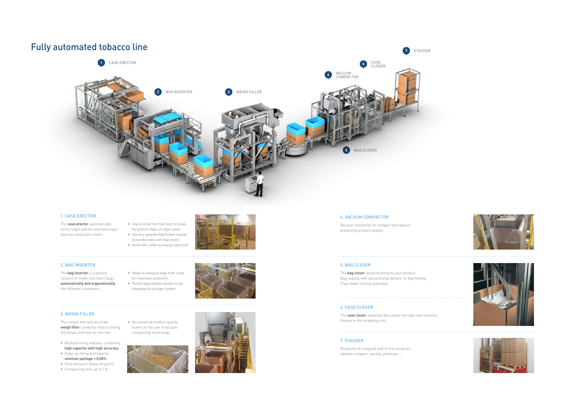### Fully automated tobacco line

#### 1. CASE ERECTOR

The **case erector** automatically forms virgin and re-used telescopic and non-telescopic boxes.

- Use of small hot melt dots to close the bottom flaps of virgin cases • Use of a separate flap braker module
- to handle boxes with flaps down • Automatic pallet exchange (optional)



#### 2. BAG INSERTER

The **bag inserter** is a perfect solution to make and insert bags **automatically and ergonomically** into different containers.

- Made-to-measure bags from a reel for maximum autonomy
- Perfect bag insertion thanks to the integrated air plunger system



#### 3. WEIGH FILLER

The unique and very accurate **weigh filler** combines tobacco filling into boxes and bins on one line.



- Multiple filling stations, combining **high capacity with high accuracy**
- Flaps up filling principle for **minimal spillage < 0,05%**
- Dust emission below 3mg /m3
- Compacting ratio up to 1.8
- You preserve product quality thanks to the use of vacuum compacting technology



#### 6. CASE CLOSER

The **case closer** automatically closes the flaps and controlls the box in the strapping unit.

#### 4. VACUUM COMPACTOR

Vacuum compactor to compact the tobacco, preserving product quality.

#### 5. BAG CLOSER

The **bag closer** perfectly protects your product. Bag sealing with vacuumizing options, or bag folding. Flaps down closing (optional).

#### 7. STACKER

Possibility to integrate end of line solutions: labeller, strapper, stacker, palletizer, …

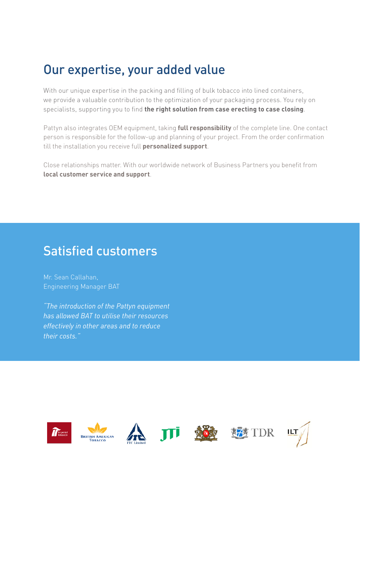### Our expertise, your added value

With our unique expertise in the packing and filling of bulk tobacco into lined containers, we provide a valuable contribution to the optimization of your packaging process. You rely on specialists, supporting you to find **the right solution from case erecting to case closing**.

Pattyn also integrates OEM equipment, taking **full responsibility** of the complete line. One contact person is responsible for the follow-up and planning of your project. From the order confirmation till the installation you receive full **personalized support**.

Close relationships matter. With our worldwide network of Business Partners you benefit from **local customer service and support**.

### Satisfied customers

Mr. Sean Callahan, Engineering Manager BAT

*"The introduction of the Pattyn equipment has allowed BAT to utilise their resources effectively in other areas and to reduce their costs."*